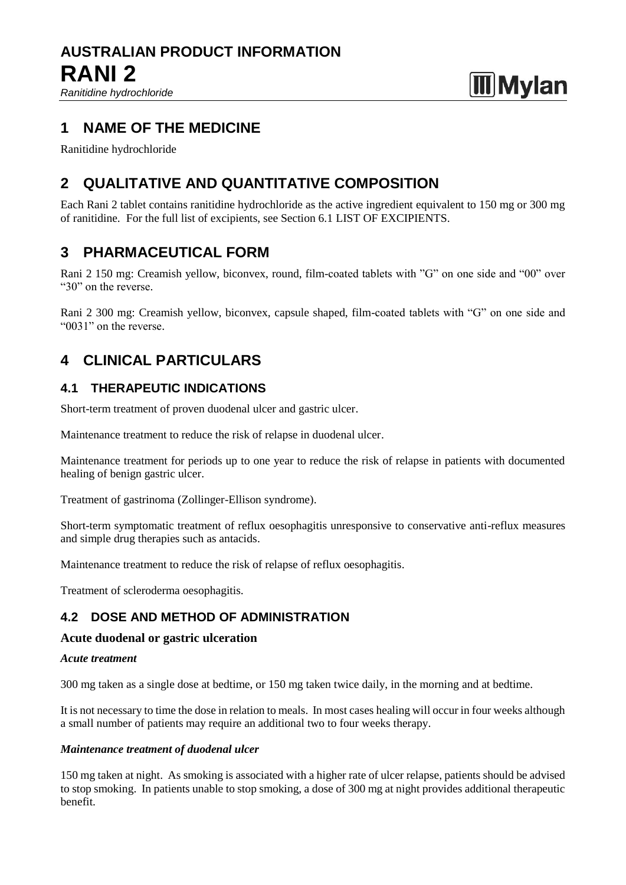*Ranitidine hydrochloride*

# **Mylan**

# **1 NAME OF THE MEDICINE**

Ranitidine hydrochloride

# **2 QUALITATIVE AND QUANTITATIVE COMPOSITION**

Each Rani 2 tablet contains ranitidine hydrochloride as the active ingredient equivalent to 150 mg or 300 mg of ranitidine. For the full list of excipients, see Section 6.1 LIST OF EXCIPIENTS.

# **3 PHARMACEUTICAL FORM**

Rani 2 150 mg: Creamish yellow, biconvex, round, film-coated tablets with "G" on one side and "00" over "30" on the reverse.

Rani 2 300 mg: Creamish yellow, biconvex, capsule shaped, film-coated tablets with "G" on one side and "0031" on the reverse.

# **4 CLINICAL PARTICULARS**

# **4.1 THERAPEUTIC INDICATIONS**

Short-term treatment of proven duodenal ulcer and gastric ulcer.

Maintenance treatment to reduce the risk of relapse in duodenal ulcer.

Maintenance treatment for periods up to one year to reduce the risk of relapse in patients with documented healing of benign gastric ulcer.

Treatment of gastrinoma (Zollinger-Ellison syndrome).

Short-term symptomatic treatment of reflux oesophagitis unresponsive to conservative anti-reflux measures and simple drug therapies such as antacids.

Maintenance treatment to reduce the risk of relapse of reflux oesophagitis.

Treatment of scleroderma oesophagitis.

# **4.2 DOSE AND METHOD OF ADMINISTRATION**

#### **Acute duodenal or gastric ulceration**

#### *Acute treatment*

300 mg taken as a single dose at bedtime, or 150 mg taken twice daily, in the morning and at bedtime.

It is not necessary to time the dose in relation to meals. In most cases healing will occur in four weeks although a small number of patients may require an additional two to four weeks therapy.

#### *Maintenance treatment of duodenal ulcer*

150 mg taken at night. As smoking is associated with a higher rate of ulcer relapse, patients should be advised to stop smoking. In patients unable to stop smoking, a dose of 300 mg at night provides additional therapeutic benefit.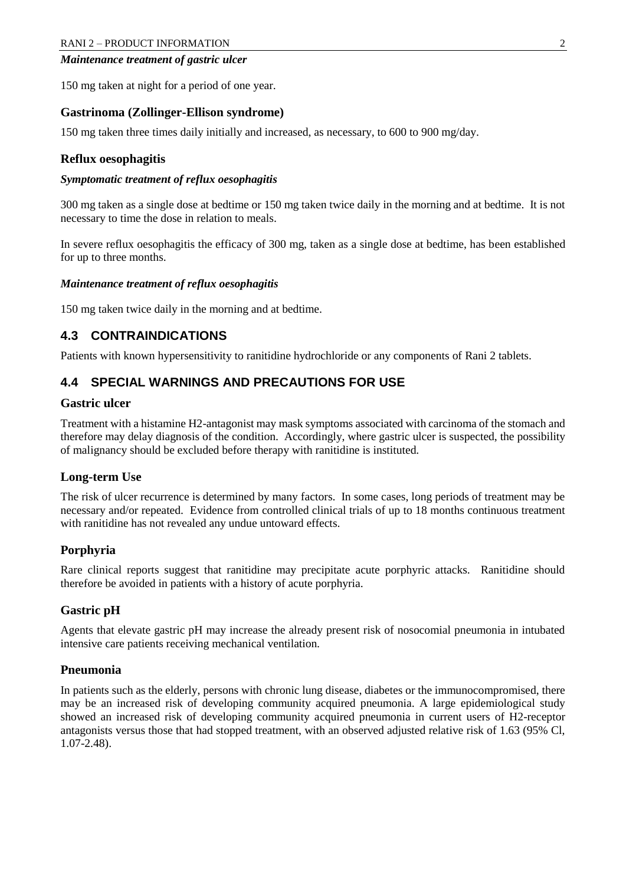#### *Maintenance treatment of gastric ulcer*

150 mg taken at night for a period of one year.

#### **Gastrinoma (Zollinger-Ellison syndrome)**

150 mg taken three times daily initially and increased, as necessary, to 600 to 900 mg/day.

#### **Reflux oesophagitis**

#### *Symptomatic treatment of reflux oesophagitis*

300 mg taken as a single dose at bedtime or 150 mg taken twice daily in the morning and at bedtime. It is not necessary to time the dose in relation to meals.

In severe reflux oesophagitis the efficacy of 300 mg, taken as a single dose at bedtime, has been established for up to three months.

#### *Maintenance treatment of reflux oesophagitis*

150 mg taken twice daily in the morning and at bedtime.

# **4.3 CONTRAINDICATIONS**

Patients with known hypersensitivity to ranitidine hydrochloride or any components of Rani 2 tablets.

# **4.4 SPECIAL WARNINGS AND PRECAUTIONS FOR USE**

#### **Gastric ulcer**

Treatment with a histamine H2-antagonist may mask symptoms associated with carcinoma of the stomach and therefore may delay diagnosis of the condition. Accordingly, where gastric ulcer is suspected, the possibility of malignancy should be excluded before therapy with ranitidine is instituted.

#### **Long-term Use**

The risk of ulcer recurrence is determined by many factors. In some cases, long periods of treatment may be necessary and/or repeated. Evidence from controlled clinical trials of up to 18 months continuous treatment with ranitidine has not revealed any undue untoward effects.

### **Porphyria**

Rare clinical reports suggest that ranitidine may precipitate acute porphyric attacks. Ranitidine should therefore be avoided in patients with a history of acute porphyria.

#### **Gastric pH**

Agents that elevate gastric pH may increase the already present risk of nosocomial pneumonia in intubated intensive care patients receiving mechanical ventilation.

#### **Pneumonia**

In patients such as the elderly, persons with chronic lung disease, diabetes or the immunocompromised, there may be an increased risk of developing community acquired pneumonia. A large epidemiological study showed an increased risk of developing community acquired pneumonia in current users of H2-receptor antagonists versus those that had stopped treatment, with an observed adjusted relative risk of 1.63 (95% Cl, 1.07-2.48).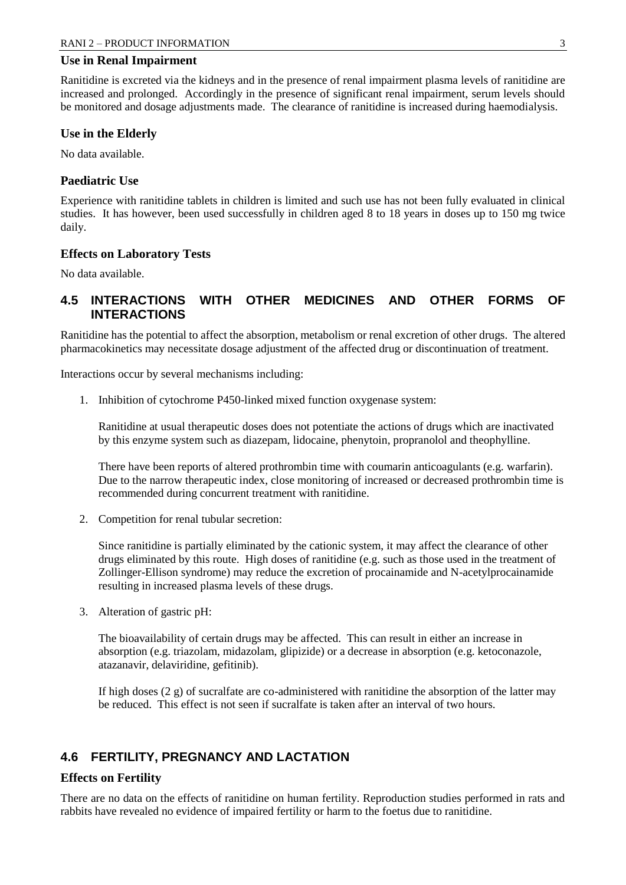#### **Use in Renal Impairment**

Ranitidine is excreted via the kidneys and in the presence of renal impairment plasma levels of ranitidine are increased and prolonged. Accordingly in the presence of significant renal impairment, serum levels should be monitored and dosage adjustments made. The clearance of ranitidine is increased during haemodialysis.

#### **Use in the Elderly**

No data available.

#### **Paediatric Use**

Experience with ranitidine tablets in children is limited and such use has not been fully evaluated in clinical studies. It has however, been used successfully in children aged 8 to 18 years in doses up to 150 mg twice daily.

#### **Effects on Laboratory Tests**

No data available.

# **4.5 INTERACTIONS WITH OTHER MEDICINES AND OTHER FORMS OF INTERACTIONS**

Ranitidine has the potential to affect the absorption, metabolism or renal excretion of other drugs. The altered pharmacokinetics may necessitate dosage adjustment of the affected drug or discontinuation of treatment.

Interactions occur by several mechanisms including:

1. Inhibition of cytochrome P450-linked mixed function oxygenase system:

Ranitidine at usual therapeutic doses does not potentiate the actions of drugs which are inactivated by this enzyme system such as diazepam, lidocaine, phenytoin, propranolol and theophylline.

There have been reports of altered prothrombin time with coumarin anticoagulants (e.g. warfarin). Due to the narrow therapeutic index, close monitoring of increased or decreased prothrombin time is recommended during concurrent treatment with ranitidine.

2. Competition for renal tubular secretion:

Since ranitidine is partially eliminated by the cationic system, it may affect the clearance of other drugs eliminated by this route. High doses of ranitidine (e.g. such as those used in the treatment of Zollinger-Ellison syndrome) may reduce the excretion of procainamide and N-acetylprocainamide resulting in increased plasma levels of these drugs.

3. Alteration of gastric pH:

The bioavailability of certain drugs may be affected. This can result in either an increase in absorption (e.g. triazolam, midazolam, glipizide) or a decrease in absorption (e.g. ketoconazole, atazanavir, delaviridine, gefitinib).

If high doses (2 g) of sucralfate are co-administered with ranitidine the absorption of the latter may be reduced. This effect is not seen if sucralfate is taken after an interval of two hours.

### **4.6 FERTILITY, PREGNANCY AND LACTATION**

#### **Effects on Fertility**

There are no data on the effects of ranitidine on human fertility. Reproduction studies performed in rats and rabbits have revealed no evidence of impaired fertility or harm to the foetus due to ranitidine.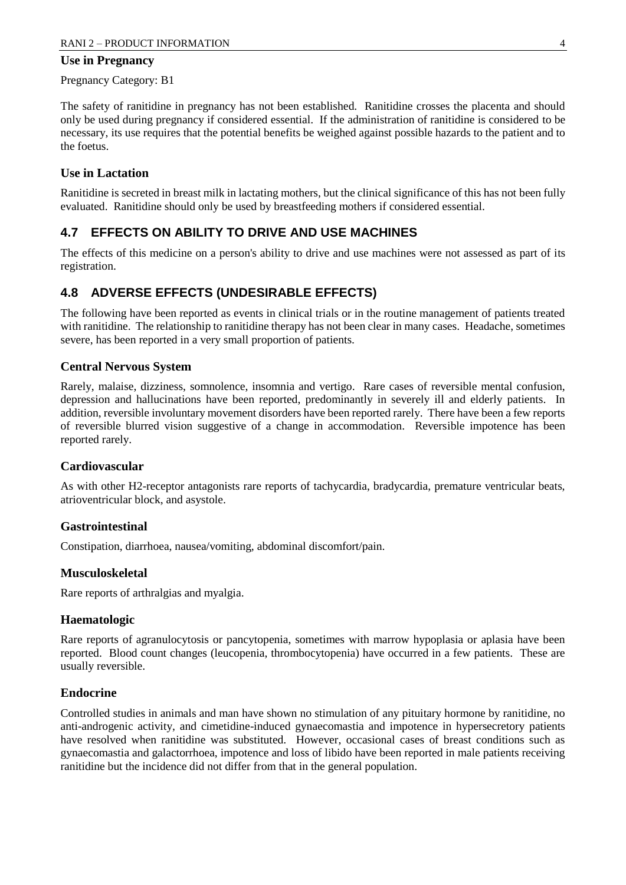#### **Use in Pregnancy**

Pregnancy Category: B1

The safety of ranitidine in pregnancy has not been established. Ranitidine crosses the placenta and should only be used during pregnancy if considered essential. If the administration of ranitidine is considered to be necessary, its use requires that the potential benefits be weighed against possible hazards to the patient and to the foetus.

#### **Use in Lactation**

Ranitidine is secreted in breast milk in lactating mothers, but the clinical significance of this has not been fully evaluated. Ranitidine should only be used by breastfeeding mothers if considered essential.

# **4.7 EFFECTS ON ABILITY TO DRIVE AND USE MACHINES**

The effects of this medicine on a person's ability to drive and use machines were not assessed as part of its registration.

### **4.8 ADVERSE EFFECTS (UNDESIRABLE EFFECTS)**

The following have been reported as events in clinical trials or in the routine management of patients treated with ranitidine. The relationship to ranitidine therapy has not been clear in many cases. Headache, sometimes severe, has been reported in a very small proportion of patients.

#### **Central Nervous System**

Rarely, malaise, dizziness, somnolence, insomnia and vertigo. Rare cases of reversible mental confusion, depression and hallucinations have been reported, predominantly in severely ill and elderly patients. In addition, reversible involuntary movement disorders have been reported rarely. There have been a few reports of reversible blurred vision suggestive of a change in accommodation. Reversible impotence has been reported rarely.

#### **Cardiovascular**

As with other H2-receptor antagonists rare reports of tachycardia, bradycardia, premature ventricular beats, atrioventricular block, and asystole.

#### **Gastrointestinal**

Constipation, diarrhoea, nausea/vomiting, abdominal discomfort/pain.

#### **Musculoskeletal**

Rare reports of arthralgias and myalgia.

#### **Haematologic**

Rare reports of agranulocytosis or pancytopenia, sometimes with marrow hypoplasia or aplasia have been reported. Blood count changes (leucopenia, thrombocytopenia) have occurred in a few patients. These are usually reversible.

#### **Endocrine**

Controlled studies in animals and man have shown no stimulation of any pituitary hormone by ranitidine, no anti-androgenic activity, and cimetidine-induced gynaecomastia and impotence in hypersecretory patients have resolved when ranitidine was substituted. However, occasional cases of breast conditions such as gynaecomastia and galactorrhoea, impotence and loss of libido have been reported in male patients receiving ranitidine but the incidence did not differ from that in the general population.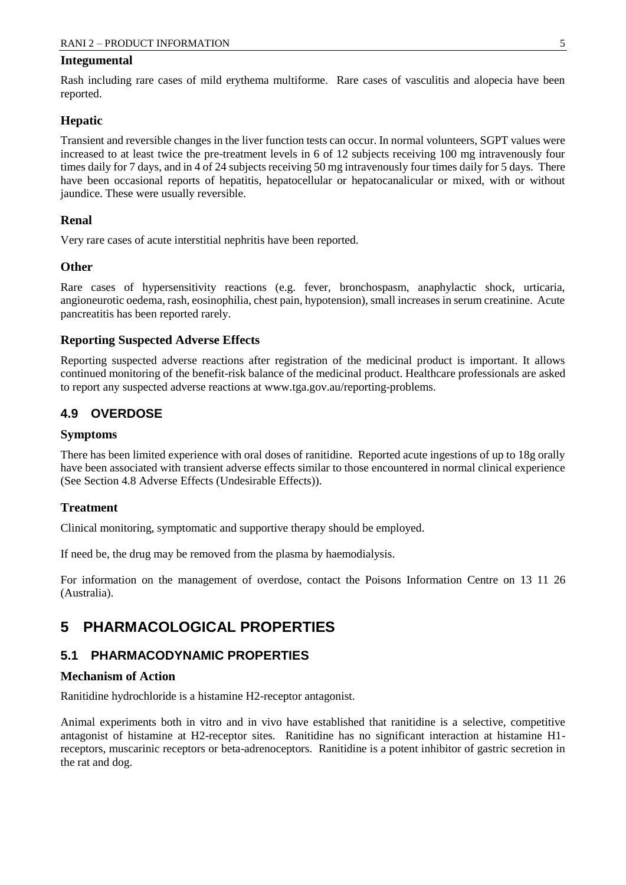#### **Integumental**

Rash including rare cases of mild erythema multiforme. Rare cases of vasculitis and alopecia have been reported.

#### **Hepatic**

Transient and reversible changes in the liver function tests can occur. In normal volunteers, SGPT values were increased to at least twice the pre-treatment levels in 6 of 12 subjects receiving 100 mg intravenously four times daily for 7 days, and in 4 of 24 subjects receiving 50 mg intravenously four times daily for 5 days. There have been occasional reports of hepatitis, hepatocellular or hepatocanalicular or mixed, with or without jaundice. These were usually reversible.

#### **Renal**

Very rare cases of acute interstitial nephritis have been reported.

#### **Other**

Rare cases of hypersensitivity reactions (e.g. fever, bronchospasm, anaphylactic shock, urticaria, angioneurotic oedema, rash, eosinophilia, chest pain, hypotension), small increases in serum creatinine. Acute pancreatitis has been reported rarely.

#### **Reporting Suspected Adverse Effects**

Reporting suspected adverse reactions after registration of the medicinal product is important. It allows continued monitoring of the benefit-risk balance of the medicinal product. Healthcare professionals are asked to report any suspected adverse reactions at [www.tga.gov.au/reporting-problems.](http://www.tga.gov.au/reporting-problems)

### **4.9 OVERDOSE**

#### **Symptoms**

There has been limited experience with oral doses of ranitidine. Reported acute ingestions of up to 18g orally have been associated with transient adverse effects similar to those encountered in normal clinical experience (See Section 4.8 Adverse Effects (Undesirable Effects)).

#### **Treatment**

Clinical monitoring, symptomatic and supportive therapy should be employed.

If need be, the drug may be removed from the plasma by haemodialysis.

For information on the management of overdose, contact the Poisons Information Centre on 13 11 26 (Australia).

# **5 PHARMACOLOGICAL PROPERTIES**

### **5.1 PHARMACODYNAMIC PROPERTIES**

#### **Mechanism of Action**

Ranitidine hydrochloride is a histamine H2-receptor antagonist.

Animal experiments both in vitro and in vivo have established that ranitidine is a selective, competitive antagonist of histamine at H2-receptor sites. Ranitidine has no significant interaction at histamine H1 receptors, muscarinic receptors or beta-adrenoceptors. Ranitidine is a potent inhibitor of gastric secretion in the rat and dog.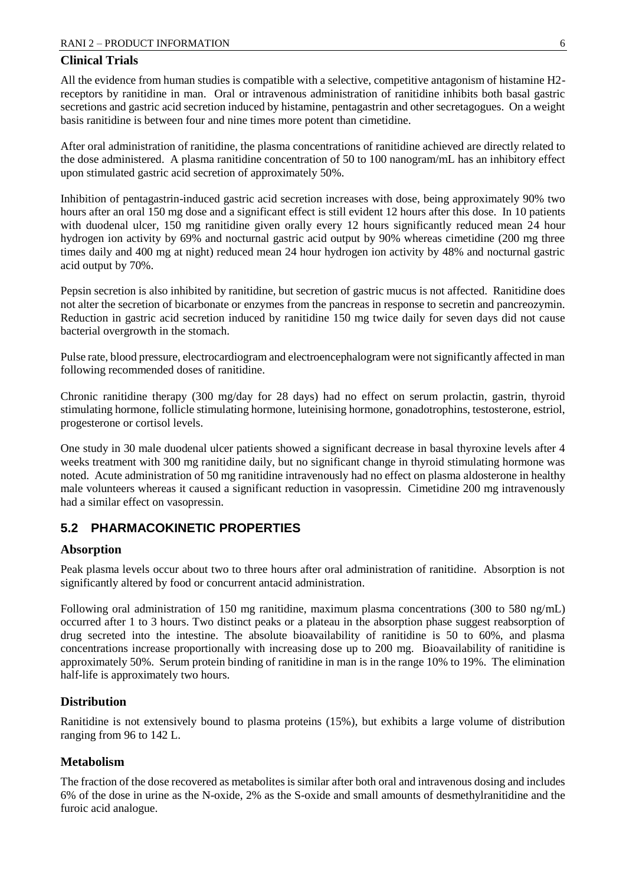#### **Clinical Trials**

All the evidence from human studies is compatible with a selective, competitive antagonism of histamine H2 receptors by ranitidine in man. Oral or intravenous administration of ranitidine inhibits both basal gastric secretions and gastric acid secretion induced by histamine, pentagastrin and other secretagogues. On a weight basis ranitidine is between four and nine times more potent than cimetidine.

After oral administration of ranitidine, the plasma concentrations of ranitidine achieved are directly related to the dose administered. A plasma ranitidine concentration of 50 to 100 nanogram/mL has an inhibitory effect upon stimulated gastric acid secretion of approximately 50%.

Inhibition of pentagastrin-induced gastric acid secretion increases with dose, being approximately 90% two hours after an oral 150 mg dose and a significant effect is still evident 12 hours after this dose. In 10 patients with duodenal ulcer, 150 mg ranitidine given orally every 12 hours significantly reduced mean 24 hour hydrogen ion activity by 69% and nocturnal gastric acid output by 90% whereas cimetidine (200 mg three times daily and 400 mg at night) reduced mean 24 hour hydrogen ion activity by 48% and nocturnal gastric acid output by 70%.

Pepsin secretion is also inhibited by ranitidine, but secretion of gastric mucus is not affected. Ranitidine does not alter the secretion of bicarbonate or enzymes from the pancreas in response to secretin and pancreozymin. Reduction in gastric acid secretion induced by ranitidine 150 mg twice daily for seven days did not cause bacterial overgrowth in the stomach.

Pulse rate, blood pressure, electrocardiogram and electroencephalogram were not significantly affected in man following recommended doses of ranitidine.

Chronic ranitidine therapy (300 mg/day for 28 days) had no effect on serum prolactin, gastrin, thyroid stimulating hormone, follicle stimulating hormone, luteinising hormone, gonadotrophins, testosterone, estriol, progesterone or cortisol levels.

One study in 30 male duodenal ulcer patients showed a significant decrease in basal thyroxine levels after 4 weeks treatment with 300 mg ranitidine daily, but no significant change in thyroid stimulating hormone was noted. Acute administration of 50 mg ranitidine intravenously had no effect on plasma aldosterone in healthy male volunteers whereas it caused a significant reduction in vasopressin. Cimetidine 200 mg intravenously had a similar effect on vasopressin.

# **5.2 PHARMACOKINETIC PROPERTIES**

#### **Absorption**

Peak plasma levels occur about two to three hours after oral administration of ranitidine. Absorption is not significantly altered by food or concurrent antacid administration.

Following oral administration of 150 mg ranitidine, maximum plasma concentrations (300 to 580 ng/mL) occurred after 1 to 3 hours. Two distinct peaks or a plateau in the absorption phase suggest reabsorption of drug secreted into the intestine. The absolute bioavailability of ranitidine is 50 to 60%, and plasma concentrations increase proportionally with increasing dose up to 200 mg. Bioavailability of ranitidine is approximately 50%. Serum protein binding of ranitidine in man is in the range 10% to 19%. The elimination half-life is approximately two hours.

### **Distribution**

Ranitidine is not extensively bound to plasma proteins (15%), but exhibits a large volume of distribution ranging from 96 to 142 L.

### **Metabolism**

The fraction of the dose recovered as metabolites is similar after both oral and intravenous dosing and includes 6% of the dose in urine as the N-oxide, 2% as the S-oxide and small amounts of desmethylranitidine and the furoic acid analogue.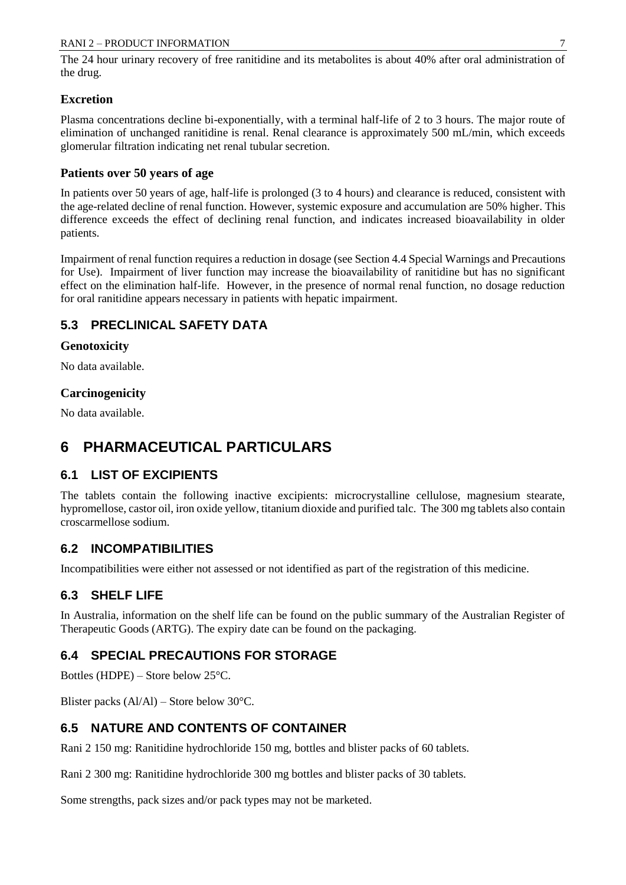The 24 hour urinary recovery of free ranitidine and its metabolites is about 40% after oral administration of the drug.

### **Excretion**

Plasma concentrations decline bi-exponentially, with a terminal half-life of 2 to 3 hours. The major route of elimination of unchanged ranitidine is renal. Renal clearance is approximately 500 mL/min, which exceeds glomerular filtration indicating net renal tubular secretion.

## **Patients over 50 years of age**

In patients over 50 years of age, half-life is prolonged (3 to 4 hours) and clearance is reduced, consistent with the age-related decline of renal function. However, systemic exposure and accumulation are 50% higher. This difference exceeds the effect of declining renal function, and indicates increased bioavailability in older patients.

Impairment of renal function requires a reduction in dosage (see Section 4.4 Special Warnings and Precautions for Use). Impairment of liver function may increase the bioavailability of ranitidine but has no significant effect on the elimination half-life. However, in the presence of normal renal function, no dosage reduction for oral ranitidine appears necessary in patients with hepatic impairment.

# **5.3 PRECLINICAL SAFETY DATA**

### **Genotoxicity**

No data available.

# **Carcinogenicity**

No data available.

# **6 PHARMACEUTICAL PARTICULARS**

# **6.1 LIST OF EXCIPIENTS**

The tablets contain the following inactive excipients: microcrystalline cellulose, magnesium stearate, hypromellose, castor oil, iron oxide yellow, titanium dioxide and purified talc. The 300 mg tablets also contain croscarmellose sodium.

# **6.2 INCOMPATIBILITIES**

Incompatibilities were either not assessed or not identified as part of the registration of this medicine.

# **6.3 SHELF LIFE**

In Australia, information on the shelf life can be found on the public summary of the Australian Register of Therapeutic Goods (ARTG). The expiry date can be found on the packaging.

# **6.4 SPECIAL PRECAUTIONS FOR STORAGE**

Bottles (HDPE) – Store below 25°C.

Blister packs (Al/Al) – Store below 30°C.

# **6.5 NATURE AND CONTENTS OF CONTAINER**

Rani 2 150 mg: Ranitidine hydrochloride 150 mg, bottles and blister packs of 60 tablets.

Rani 2 300 mg: Ranitidine hydrochloride 300 mg bottles and blister packs of 30 tablets.

Some strengths, pack sizes and/or pack types may not be marketed.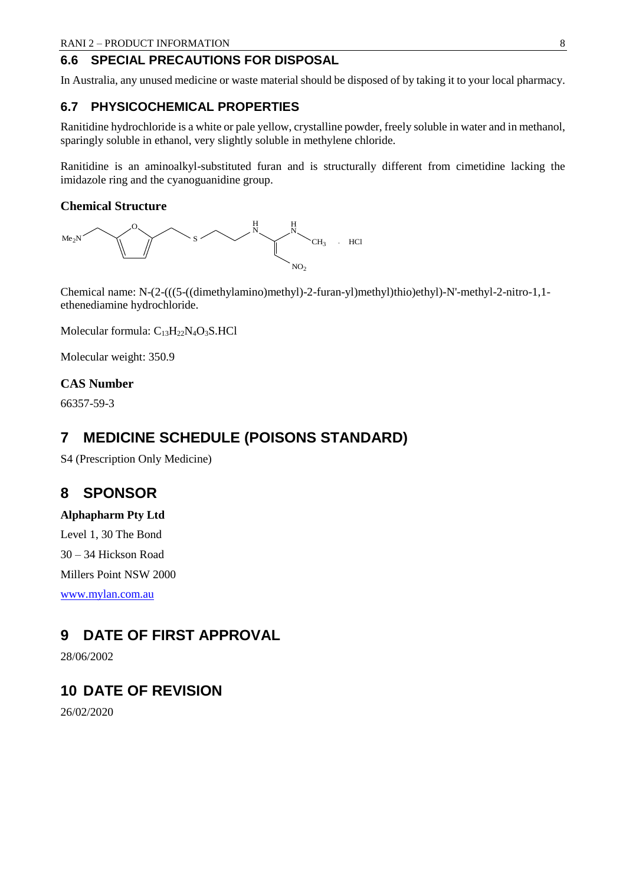### **6.6 SPECIAL PRECAUTIONS FOR DISPOSAL**

In Australia, any unused medicine or waste material should be disposed of by taking it to your local pharmacy.

## **6.7 PHYSICOCHEMICAL PROPERTIES**

Ranitidine hydrochloride is a white or pale yellow, crystalline powder, freely soluble in water and in methanol, sparingly soluble in ethanol, very slightly soluble in methylene chloride.

Ranitidine is an aminoalkyl-substituted furan and is structurally different from cimetidine lacking the imidazole ring and the cyanoguanidine group.

#### **Chemical Structure**



Chemical name: N-(2-(((5-((dimethylamino)methyl)-2-furan-yl)methyl)thio)ethyl)-N'-methyl-2-nitro-1,1 ethenediamine hydrochloride.

Molecular formula: C<sub>13</sub>H<sub>22</sub>N<sub>4</sub>O<sub>3</sub>S.HCl

Molecular weight: 350.9

#### **CAS Number**

66357-59-3

# **7 MEDICINE SCHEDULE (POISONS STANDARD)**

S4 (Prescription Only Medicine)

# **8 SPONSOR**

**Alphapharm Pty Ltd** Level 1, 30 The Bond 30 – 34 Hickson Road Millers Point NSW 2000 [www.mylan.com.au](http://www.mylan.com.au/)

# **9 DATE OF FIRST APPROVAL**

28/06/2002

# **10 DATE OF REVISION**

26/02/2020